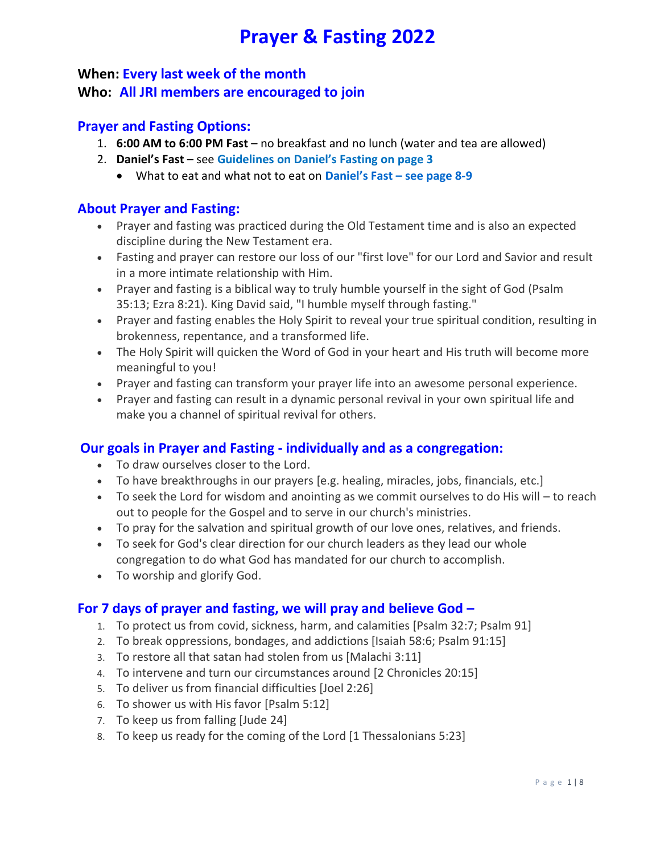# **Prayer & Fasting 2022**

## **When: Every last week of the month Who: All JRI members are encouraged to join**

#### **Prayer and Fasting Options:**

- 1. **6:00 AM to 6:00 PM Fast** no breakfast and no lunch (water and tea are allowed)
- 2. **Daniel's Fast** see **Guidelines on Daniel's Fasting on page 3**
	- What to eat and what not to eat on **Daniel's Fast – see page 8-9**

### **About Prayer and Fasting:**

- Prayer and fasting was practiced during the Old Testament time and is also an expected discipline during the New Testament era.
- Fasting and prayer can restore our loss of our "first love" for our Lord and Savior and result in a more intimate relationship with Him.
- Prayer and fasting is a biblical way to truly humble yourself in the sight of God (Psalm 35:13; Ezra 8:21). King David said, "I humble myself through fasting."
- Prayer and fasting enables the Holy Spirit to reveal your true spiritual condition, resulting in brokenness, repentance, and a transformed life.
- The Holy Spirit will quicken the Word of God in your heart and His truth will become more meaningful to you!
- Prayer and fasting can transform your prayer life into an awesome personal experience.
- Prayer and fasting can result in a dynamic personal revival in your own spiritual life and make you a channel of spiritual revival for others.

## **Our goals in Prayer and Fasting - individually and as a congregation:**

- To draw ourselves closer to the Lord.
- To have breakthroughs in our prayers [e.g. healing, miracles, jobs, financials, etc.]
- To seek the Lord for wisdom and anointing as we commit ourselves to do His will to reach out to people for the Gospel and to serve in our church's ministries.
- To pray for the salvation and spiritual growth of our love ones, relatives, and friends.
- To seek for God's clear direction for our church leaders as they lead our whole congregation to do what God has mandated for our church to accomplish.
- To worship and glorify God.

## **For 7 days of prayer and fasting, we will pray and believe God –**

- 1. To protect us from covid, sickness, harm, and calamities [Psalm 32:7; Psalm 91]
- 2. To break oppressions, bondages, and addictions [Isaiah 58:6; Psalm 91:15]
- 3. To restore all that satan had stolen from us [Malachi 3:11]
- 4. To intervene and turn our circumstances around [2 Chronicles 20:15]
- 5. To deliver us from financial difficulties [Joel 2:26]
- 6. To shower us with His favor [Psalm 5:12]
- 7. To keep us from falling [Jude 24]
- 8. To keep us ready for the coming of the Lord [1 Thessalonians 5:23]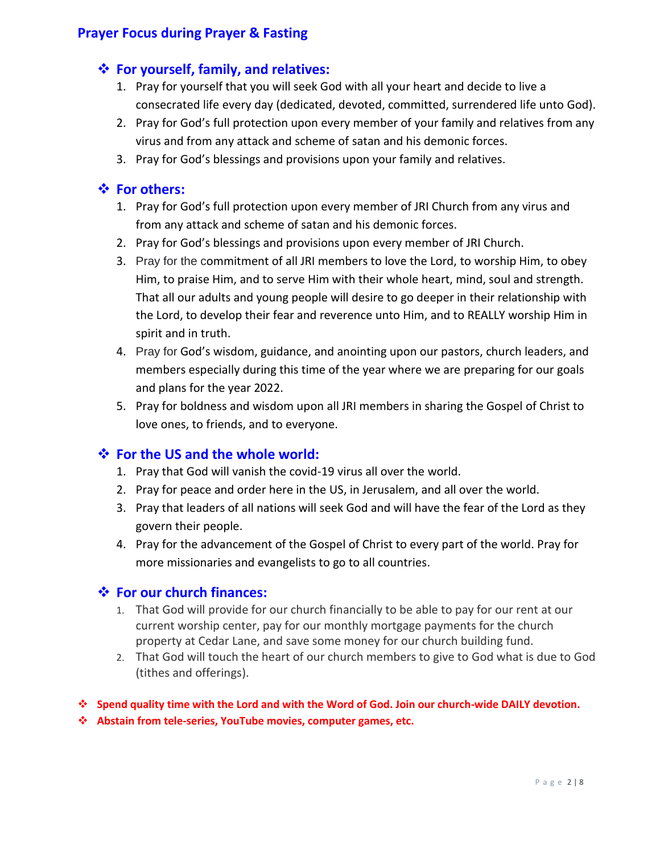## **Prayer Focus during Prayer & Fasting**

## **For yourself, family, and relatives:**

- 1. Pray for yourself that you will seek God with all your heart and decide to live a consecrated life every day (dedicated, devoted, committed, surrendered life unto God).
- 2. Pray for God's full protection upon every member of your family and relatives from any virus and from any attack and scheme of satan and his demonic forces.
- 3. Pray for God's blessings and provisions upon your family and relatives.

## **For others:**

- 1. Pray for God's full protection upon every member of JRI Church from any virus and from any attack and scheme of satan and his demonic forces.
- 2. Pray for God's blessings and provisions upon every member of JRI Church.
- 3. Pray for the commitment of all JRI members to love the Lord, to worship Him, to obey Him, to praise Him, and to serve Him with their whole heart, mind, soul and strength. That all our adults and young people will desire to go deeper in their relationship with the Lord, to develop their fear and reverence unto Him, and to REALLY worship Him in spirit and in truth.
- 4. Pray for God's wisdom, guidance, and anointing upon our pastors, church leaders, and members especially during this time of the year where we are preparing for our goals and plans for the year 2022.
- 5. Pray for boldness and wisdom upon all JRI members in sharing the Gospel of Christ to love ones, to friends, and to everyone.

## **For the US and the whole world:**

- 1. Pray that God will vanish the covid-19 virus all over the world.
- 2. Pray for peace and order here in the US, in Jerusalem, and all over the world.
- 3. Pray that leaders of all nations will seek God and will have the fear of the Lord as they govern their people.
- 4. Pray for the advancement of the Gospel of Christ to every part of the world. Pray for more missionaries and evangelists to go to all countries.

#### **For our church finances:**

- 1. That God will provide for our church financially to be able to pay for our rent at our current worship center, pay for our monthly mortgage payments for the church property at Cedar Lane, and save some money for our church building fund.
- 2. That God will touch the heart of our church members to give to God what is due to God (tithes and offerings).

#### **Spend quality time with the Lord and with the Word of God. Join our church-wide DAILY devotion.**

**Abstain from tele-series, YouTube movies, computer games, etc.**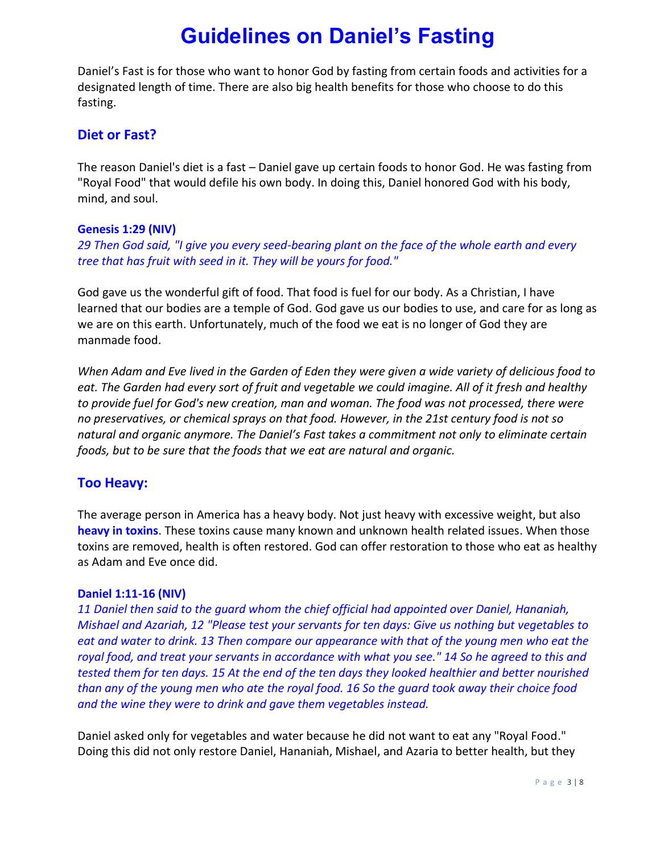# **Guidelines on Daniel's Fasting**

Daniel's Fast is for those who want to honor God by fasting from certain foods and activities for a designated length of time. There are also big health benefits for those who choose to do this fasting.

## **Diet or Fast?**

The reason Daniel's diet is a fast – Daniel gave up certain foods to honor God. He was fasting from "Royal Food" that would defile his own body. In doing this, Daniel honored God with his body, mind, and soul.

#### **Genesis 1:29 (NIV)**

*29 Then God said, "I give you every seed-bearing plant on the face of the whole earth and every tree that has fruit with seed in it. They will be yours for food."*

God gave us the wonderful gift of food. That food is fuel for our body. As a Christian, I have learned that our bodies are a temple of God. God gave us our bodies to use, and care for as long as we are on this earth. Unfortunately, much of the food we eat is no longer of God they are manmade food.

*When Adam and Eve lived in the Garden of Eden they were given a wide variety of delicious food to eat. The Garden had every sort of fruit and vegetable we could imagine. All of it fresh and healthy to provide fuel for God's new creation, man and woman. The food was not processed, there were no preservatives, or chemical sprays on that food. However, in the 21st century food is not so natural and organic anymore. The Daniel's Fast takes a commitment not only to eliminate certain foods, but to be sure that the foods that we eat are natural and organic.*

## **Too Heavy:**

The average person in America has a heavy body. Not just heavy with excessive weight, but also **heavy in toxins**. These toxins cause many known and unknown health related issues. When those toxins are removed, health is often restored. God can offer restoration to those who eat as healthy as Adam and Eve once did.

#### **Daniel 1:11-16 (NIV)**

*11 Daniel then said to the guard whom the chief official had appointed over Daniel, Hananiah, Mishael and Azariah, 12 "Please test your servants for ten days: Give us nothing but vegetables to eat and water to drink. 13 Then compare our appearance with that of the young men who eat the royal food, and treat your servants in accordance with what you see." 14 So he agreed to this and tested them for ten days. 15 At the end of the ten days they looked healthier and better nourished than any of the young men who ate the royal food. 16 So the guard took away their choice food and the wine they were to drink and gave them vegetables instead.*

Daniel asked only for vegetables and water because he did not want to eat any "Royal Food." Doing this did not only restore Daniel, Hananiah, Mishael, and Azaria to better health, but they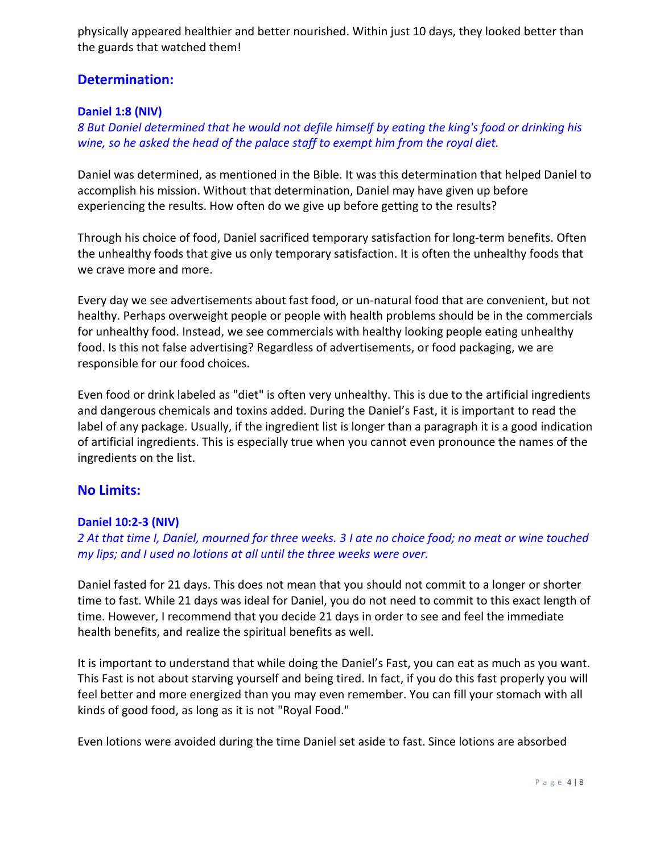physically appeared healthier and better nourished. Within just 10 days, they looked better than the guards that watched them!

### **Determination:**

#### **Daniel 1:8 (NIV)**

*8 But Daniel determined that he would not defile himself by eating the king's food or drinking his wine, so he asked the head of the palace staff to exempt him from the royal diet.*

Daniel was determined, as mentioned in the Bible. It was this determination that helped Daniel to accomplish his mission. Without that determination, Daniel may have given up before experiencing the results. How often do we give up before getting to the results?

Through his choice of food, Daniel sacrificed temporary satisfaction for long-term benefits. Often the unhealthy foods that give us only temporary satisfaction. It is often the unhealthy foods that we crave more and more.

Every day we see advertisements about fast food, or un-natural food that are convenient, but not healthy. Perhaps overweight people or people with health problems should be in the commercials for unhealthy food. Instead, we see commercials with healthy looking people eating unhealthy food. Is this not false advertising? Regardless of advertisements, or food packaging, we are responsible for our food choices.

Even food or drink labeled as "diet" is often very unhealthy. This is due to the artificial ingredients and dangerous chemicals and toxins added. During the Daniel's Fast, it is important to read the label of any package. Usually, if the ingredient list is longer than a paragraph it is a good indication of artificial ingredients. This is especially true when you cannot even pronounce the names of the ingredients on the list.

#### **No Limits:**

#### **Daniel 10:2-3 (NIV)**

#### *2 At that time I, Daniel, mourned for three weeks. 3 I ate no choice food; no meat or wine touched my lips; and I used no lotions at all until the three weeks were over.*

Daniel fasted for 21 days. This does not mean that you should not commit to a longer or shorter time to fast. While 21 days was ideal for Daniel, you do not need to commit to this exact length of time. However, I recommend that you decide 21 days in order to see and feel the immediate health benefits, and realize the spiritual benefits as well.

It is important to understand that while doing the Daniel's Fast, you can eat as much as you want. This Fast is not about starving yourself and being tired. In fact, if you do this fast properly you will feel better and more energized than you may even remember. You can fill your stomach with all kinds of good food, as long as it is not "Royal Food."

Even lotions were avoided during the time Daniel set aside to fast. Since lotions are absorbed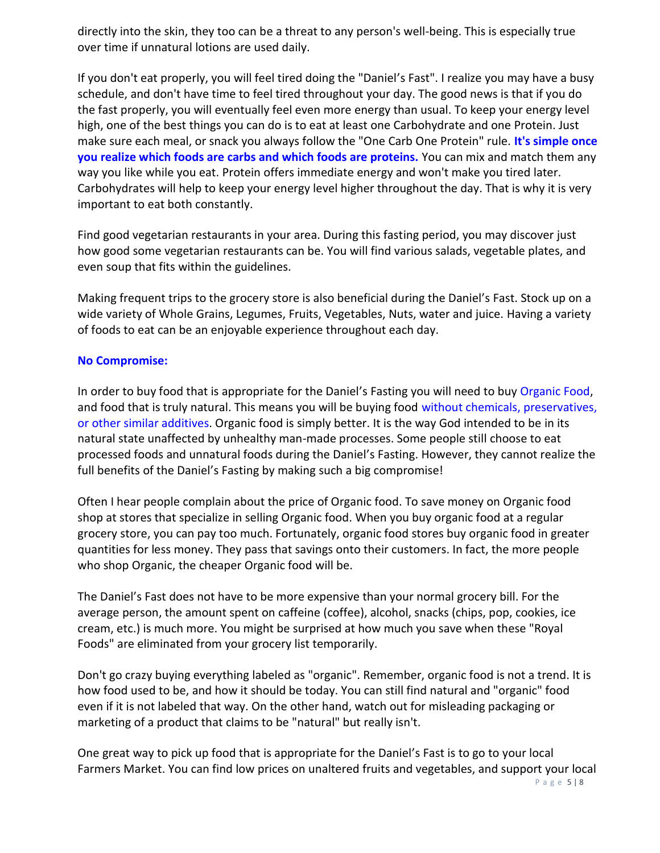directly into the skin, they too can be a threat to any person's well-being. This is especially true over time if unnatural lotions are used daily.

If you don't eat properly, you will feel tired doing the "Daniel's Fast". I realize you may have a busy schedule, and don't have time to feel tired throughout your day. The good news is that if you do the fast properly, you will eventually feel even more energy than usual. To keep your energy level high, one of the best things you can do is to eat at least one Carbohydrate and one Protein. Just make sure each meal, or snack you always follow the "One Carb One Protein" rule. **It's simple once you realize which foods are carbs and which foods are proteins.** You can mix and match them any way you like while you eat. Protein offers immediate energy and won't make you tired later. Carbohydrates will help to keep your energy level higher throughout the day. That is why it is very important to eat both constantly.

Find good vegetarian restaurants in your area. During this fasting period, you may discover just how good some vegetarian restaurants can be. You will find various salads, vegetable plates, and even soup that fits within the guidelines.

Making frequent trips to the grocery store is also beneficial during the Daniel's Fast. Stock up on a wide variety of Whole Grains, Legumes, Fruits, Vegetables, Nuts, water and juice. Having a variety of foods to eat can be an enjoyable experience throughout each day.

#### **No Compromise:**

In order to buy food that is appropriate for the Daniel's Fasting you will need to buy Organic Food, and food that is truly natural. This means you will be buying food without chemicals, preservatives, or other similar additives. Organic food is simply better. It is the way God intended to be in its natural state unaffected by unhealthy man-made processes. Some people still choose to eat processed foods and unnatural foods during the Daniel's Fasting. However, they cannot realize the full benefits of the Daniel's Fasting by making such a big compromise!

Often I hear people complain about the price of Organic food. To save money on Organic food shop at stores that specialize in selling Organic food. When you buy organic food at a regular grocery store, you can pay too much. Fortunately, organic food stores buy organic food in greater quantities for less money. They pass that savings onto their customers. In fact, the more people who shop Organic, the cheaper Organic food will be.

The Daniel's Fast does not have to be more expensive than your normal grocery bill. For the average person, the amount spent on caffeine (coffee), alcohol, snacks (chips, pop, cookies, ice cream, etc.) is much more. You might be surprised at how much you save when these "Royal Foods" are eliminated from your grocery list temporarily.

Don't go crazy buying everything labeled as "organic". Remember, organic food is not a trend. It is how food used to be, and how it should be today. You can still find natural and "organic" food even if it is not labeled that way. On the other hand, watch out for misleading packaging or marketing of a product that claims to be "natural" but really isn't.

One great way to pick up food that is appropriate for the Daniel's Fast is to go to your local Farmers Market. You can find low prices on unaltered fruits and vegetables, and support your local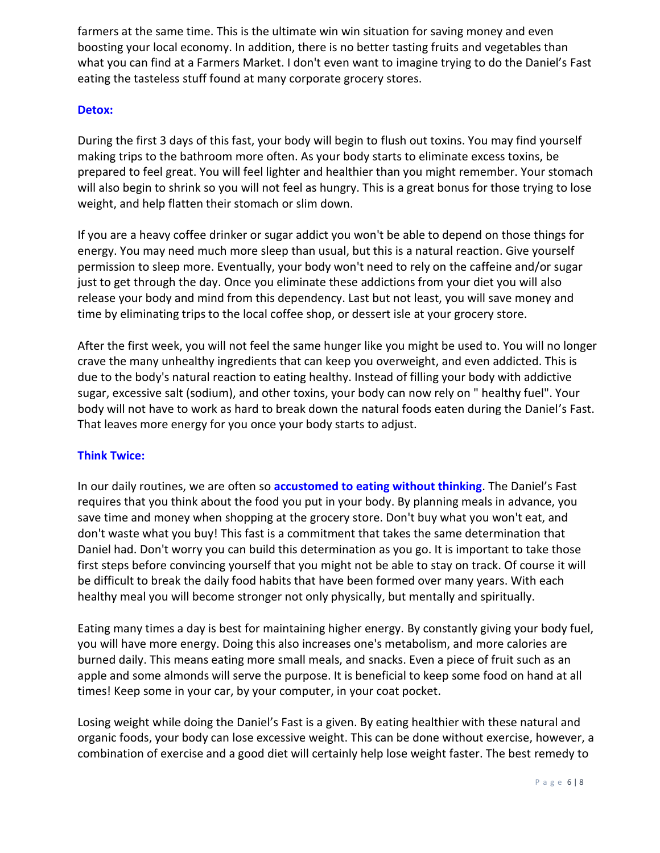farmers at the same time. This is the ultimate win win situation for saving money and even boosting your local economy. In addition, there is no better tasting fruits and vegetables than what you can find at a Farmers Market. I don't even want to imagine trying to do the Daniel's Fast eating the tasteless stuff found at many corporate grocery stores.

#### **Detox:**

During the first 3 days of this fast, your body will begin to flush out toxins. You may find yourself making trips to the bathroom more often. As your body starts to eliminate excess toxins, be prepared to feel great. You will feel lighter and healthier than you might remember. Your stomach will also begin to shrink so you will not feel as hungry. This is a great bonus for those trying to lose weight, and help flatten their stomach or slim down.

If you are a heavy coffee drinker or sugar addict you won't be able to depend on those things for energy. You may need much more sleep than usual, but this is a natural reaction. Give yourself permission to sleep more. Eventually, your body won't need to rely on the caffeine and/or sugar just to get through the day. Once you eliminate these addictions from your diet you will also release your body and mind from this dependency. Last but not least, you will save money and time by eliminating trips to the local coffee shop, or dessert isle at your grocery store.

After the first week, you will not feel the same hunger like you might be used to. You will no longer crave the many unhealthy ingredients that can keep you overweight, and even addicted. This is due to the body's natural reaction to eating healthy. Instead of filling your body with addictive sugar, excessive salt (sodium), and other toxins, your body can now rely on " healthy fuel". Your body will not have to work as hard to break down the natural foods eaten during the Daniel's Fast. That leaves more energy for you once your body starts to adjust.

#### **Think Twice:**

In our daily routines, we are often so **accustomed to eating without thinking**. The Daniel's Fast requires that you think about the food you put in your body. By planning meals in advance, you save time and money when shopping at the grocery store. Don't buy what you won't eat, and don't waste what you buy! This fast is a commitment that takes the same determination that Daniel had. Don't worry you can build this determination as you go. It is important to take those first steps before convincing yourself that you might not be able to stay on track. Of course it will be difficult to break the daily food habits that have been formed over many years. With each healthy meal you will become stronger not only physically, but mentally and spiritually.

Eating many times a day is best for maintaining higher energy. By constantly giving your body fuel, you will have more energy. Doing this also increases one's metabolism, and more calories are burned daily. This means eating more small meals, and snacks. Even a piece of fruit such as an apple and some almonds will serve the purpose. It is beneficial to keep some food on hand at all times! Keep some in your car, by your computer, in your coat pocket.

Losing weight while doing the Daniel's Fast is a given. By eating healthier with these natural and organic foods, your body can lose excessive weight. This can be done without exercise, however, a combination of exercise and a good diet will certainly help lose weight faster. The best remedy to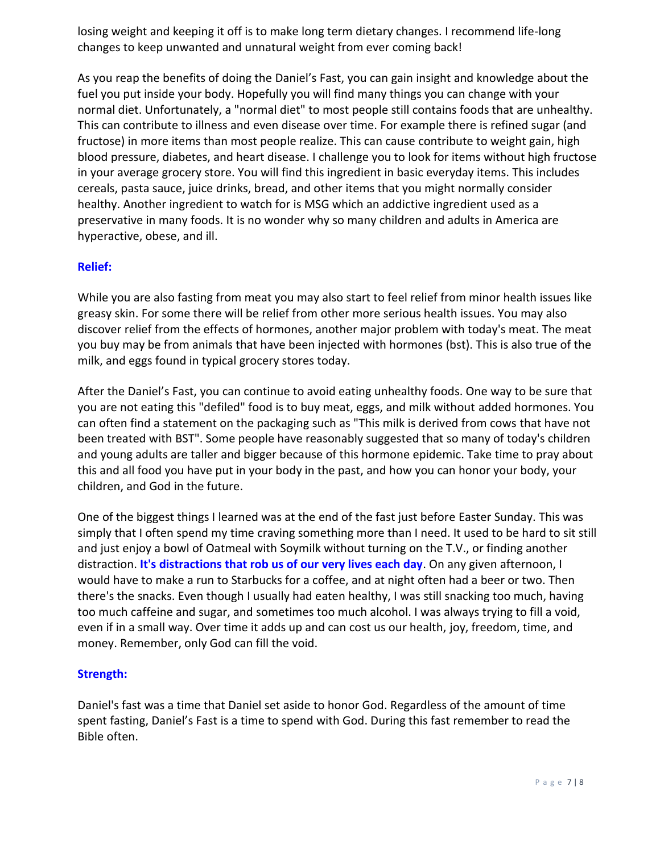losing weight and keeping it off is to make long term dietary changes. I recommend life-long changes to keep unwanted and unnatural weight from ever coming back!

As you reap the benefits of doing the Daniel's Fast, you can gain insight and knowledge about the fuel you put inside your body. Hopefully you will find many things you can change with your normal diet. Unfortunately, a "normal diet" to most people still contains foods that are unhealthy. This can contribute to illness and even disease over time. For example there is refined sugar (and fructose) in more items than most people realize. This can cause contribute to weight gain, high blood pressure, diabetes, and heart disease. I challenge you to look for items without high fructose in your average grocery store. You will find this ingredient in basic everyday items. This includes cereals, pasta sauce, juice drinks, bread, and other items that you might normally consider healthy. Another ingredient to watch for is MSG which an addictive ingredient used as a preservative in many foods. It is no wonder why so many children and adults in America are hyperactive, obese, and ill.

#### **Relief:**

While you are also fasting from meat you may also start to feel relief from minor health issues like greasy skin. For some there will be relief from other more serious health issues. You may also discover relief from the effects of hormones, another major problem with today's meat. The meat you buy may be from animals that have been injected with hormones (bst). This is also true of the milk, and eggs found in typical grocery stores today.

After the Daniel's Fast, you can continue to avoid eating unhealthy foods. One way to be sure that you are not eating this "defiled" food is to buy meat, eggs, and milk without added hormones. You can often find a statement on the packaging such as "This milk is derived from cows that have not been treated with BST". Some people have reasonably suggested that so many of today's children and young adults are taller and bigger because of this hormone epidemic. Take time to pray about this and all food you have put in your body in the past, and how you can honor your body, your children, and God in the future.

One of the biggest things I learned was at the end of the fast just before Easter Sunday. This was simply that I often spend my time craving something more than I need. It used to be hard to sit still and just enjoy a bowl of Oatmeal with Soymilk without turning on the T.V., or finding another distraction. **It's distractions that rob us of our very lives each day**. On any given afternoon, I would have to make a run to Starbucks for a coffee, and at night often had a beer or two. Then there's the snacks. Even though I usually had eaten healthy, I was still snacking too much, having too much caffeine and sugar, and sometimes too much alcohol. I was always trying to fill a void, even if in a small way. Over time it adds up and can cost us our health, joy, freedom, time, and money. Remember, only God can fill the void.

#### **Strength:**

Daniel's fast was a time that Daniel set aside to honor God. Regardless of the amount of time spent fasting, Daniel's Fast is a time to spend with God. During this fast remember to read the Bible often.